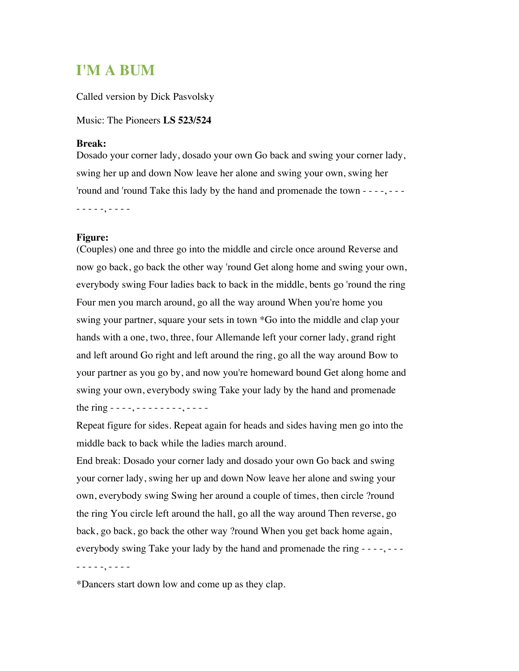## **I'M A BUM**

Called version by Dick Pasvolsky

Music: The Pioneers **LS 523/524**

## **Break:**

Dosado your corner lady, dosado your own Go back and swing your corner lady, swing her up and down Now leave her alone and swing your own, swing her 'round and 'round Take this lady by the hand and promenade the town - - - -, - - -

- - - - -, - - - -

## **Figure:**

(Couples) one and three go into the middle and circle once around Reverse and now go back, go back the other way 'round Get along home and swing your own, everybody swing Four ladies back to back in the middle, bents go 'round the ring Four men you march around, go all the way around When you're home you swing your partner, square your sets in town \*Go into the middle and clap your hands with a one, two, three, four Allemande left your corner lady, grand right and left around Go right and left around the ring, go all the way around Bow to your partner as you go by, and now you're homeward bound Get along home and swing your own, everybody swing Take your lady by the hand and promenade the ring  $- - -$ ,  $- - - - - - -$ ,  $- - - -$ 

Repeat figure for sides. Repeat again for heads and sides having men go into the middle back to back while the ladies march around.

End break: Dosado your corner lady and dosado your own Go back and swing your corner lady, swing her up and down Now leave her alone and swing your own, everybody swing Swing her around a couple of times, then circle ?round the ring You circle left around the hall, go all the way around Then reverse, go back, go back, go back the other way ?round When you get back home again, everybody swing Take your lady by the hand and promenade the ring - - - -, - - -

- - - - -, - - - -

\*Dancers start down low and come up as they clap.